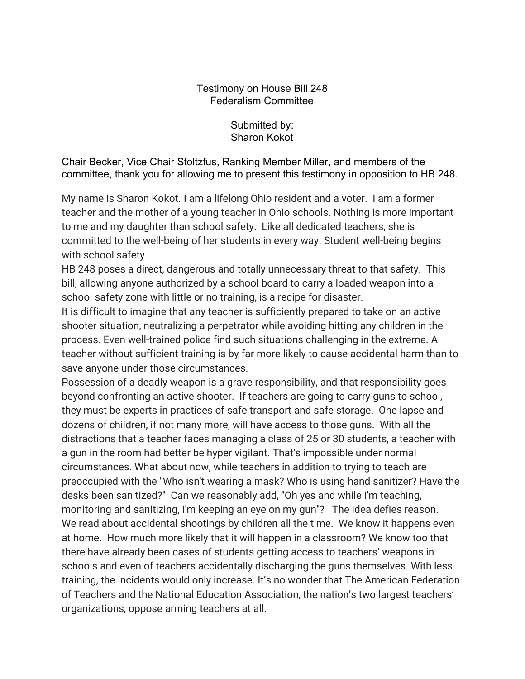## Testimony on House Bill 248 Federalism Committee

Submitted by: Sharon Kokot

Chair Becker, Vice Chair Stoltzfus, Ranking Member Miller, and members of the committee, thank you for allowing me to present this testimony in opposition to HB 248.

My name is Sharon Kokot. I am a lifelong Ohio resident and a voter. I am a former teacher and the mother of a young teacher in Ohio schools. Nothing is more important to me and my daughter than school safety. Like all dedicated teachers, she is committed to the well-being of her students in every way. Student well-being begins with school safety.

HB 248 poses a direct, dangerous and totally unnecessary threat to that safety. This bill, allowing anyone authorized by a school board to carry a loaded weapon into a school safety zone with little or no training, is a recipe for disaster.

It is difficult to imagine that any teacher is sufficiently prepared to take on an active shooter situation, neutralizing a perpetrator while avoiding hitting any children in the process. Even well-trained police find such situations challenging in the extreme. A teacher without sufficient training is by far more likely to cause accidental harm than to save anyone under those circumstances.

Possession of a deadly weapon is a grave responsibility, and that responsibility goes beyond confronting an active shooter. If teachers are going to carry guns to school, they must be experts in practices of safe transport and safe storage. One lapse and dozens of children, if not many more, will have access to those guns. With all the distractions that a teacher faces managing a class of 25 or 30 students, a teacher with a gun in the room had better be hyper vigilant. That's impossible under normal circumstances. What about now, while teachers in addition to trying to teach are preoccupied with the "Who isn't wearing a mask? Who is using hand sanitizer? Have the desks been sanitized?" Can we reasonably add, "Oh yes and while I'm teaching, monitoring and sanitizing, I'm keeping an eye on my gun"? The idea defies reason. We read about accidental shootings by children all the time. We know it happens even at home. How much more likely that it will happen in a classroom? We know too that there have already been cases of students getting access to teachers' weapons in schools and even of teachers accidentally discharging the guns themselves. With less training, the incidents would only increase. It's no wonder that The American Federation of Teachers and the National Education Association, the nation's two largest teachers' organizations, oppose arming teachers at all.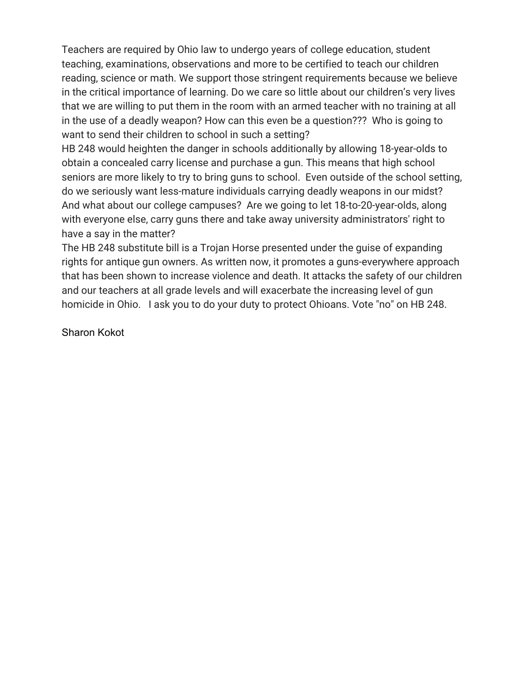Teachers are required by Ohio law to undergo years of college education, student teaching, examinations, observations and more to be certified to teach our children reading, science or math. We support those stringent requirements because we believe in the critical importance of learning. Do we care so little about our children's very lives that we are willing to put them in the room with an armed teacher with no training at all in the use of a deadly weapon? How can this even be a question??? Who is going to want to send their children to school in such a setting?

HB 248 would heighten the danger in schools additionally by allowing 18-year-olds to obtain a concealed carry license and purchase a gun. This means that high school seniors are more likely to try to bring guns to school. Even outside of the school setting, do we seriously want less-mature individuals carrying deadly weapons in our midst? And what about our college campuses? Are we going to let 18-to-20-year-olds, along with everyone else, carry guns there and take away university administrators' right to have a say in the matter?

The HB 248 substitute bill is a Trojan Horse presented under the guise of expanding rights for antique gun owners. As written now, it promotes a guns-everywhere approach that has been shown to increase violence and death. It attacks the safety of our children and our teachers at all grade levels and will exacerbate the increasing level of gun homicide in Ohio. I ask you to do your duty to protect Ohioans. Vote "no" on HB 248.

Sharon Kokot